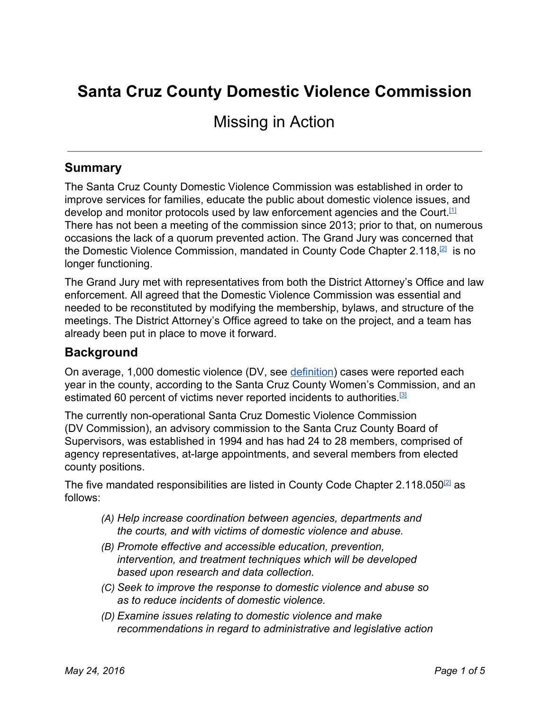# **Santa Cruz County Domestic Violence Commission**

# Missing in Action

### **Summary**

The Santa Cruz County Domestic Violence Commission was established in order to improve services for families, educate the public about domestic violence issues, and develop and monitor protocols used by law enforcement agencies and the Court.<sup>[\[1\]](http://sccounty01.co.santa-cruz.ca.us/da/dvc/Domestic_violence_commission_index.asp)</sup> There has not been a meeting of the commission since 2013; prior to that, on numerous occasions the lack of a quorum prevented action. The Grand Jury was concerned that the Domestic Violence Commission, mandated in County Code Chapter 2.118,<sup>[\[2\]](http://www.codepublishing.com/CA/SantaCruzCounty/?SantaCruzCounty02/SantaCruzCounty02118.html)</sup> is no longer functioning.

The Grand Jury met with representatives from both the District Attorney's Office and law enforcement. All agreed that the Domestic Violence Commission was essential and needed to be reconstituted by modifying the membership, bylaws, and structure of the meetings. The District Attorney's Office agreed to take on the project, and a team has already been put in place to move it forward.

#### **Background**

On average, 1,000 domestic violence (DV, see [definition\)](#page-3-0) cases were reported each year in the county, according to the Santa Cruz County Women's Commission, and an estimated 60 percent of victims never reported incidents to authorities.<sup>[\[3\]](http://nl.newsbank.com/nl-search/we/Archives?p_product=SCS9&p_theme=scs9&p_action=search&p_maxdocs=200&s_dispstring=allfields(domestic%20violence)%20AND%20date(10/5/2011%20to%2010/5/2011)&p_field_date-0=YMD_date&p_params_date-0=date:B,E&p_text_date-0=10/5/2011%20to%2010/5/2011)&p_field_advanced-0=&p_text_advanced-0=(%22domestic%20violence%22)&xcal_numdocs=20&p_perpage=10&p_sort=YMD_date:D&xcal_useweights=no)</sup>

The currently non-operational Santa Cruz Domestic Violence Commission (DV Commission), an advisory commission to the Santa Cruz County Board of Supervisors, was established in 1994 and has had 24 to 28 members, comprised of agency representatives, at-large appointments, and several members from elected county positions.

The five mandated responsibilities are listed in County Code Chapter 2.118.050<sup>[\[2\]](http://www.codepublishing.com/CA/SantaCruzCounty/?SantaCruzCounty02/SantaCruzCounty02118.html)</sup> as follows:

- *(A) Help increase coordination between agencies, departments and the courts, and with victims of domestic violence and abuse.*
- *(B) Promote effective and accessible education, prevention, intervention, and treatment techniques which will be developed based upon research and data collection.*
- *(C) Seek to improve the response to domestic violence and abuse so as to reduce incidents of domestic violence.*
- *(D) Examine issues relating to domestic violence and make recommendations in regard to administrative and legislative action*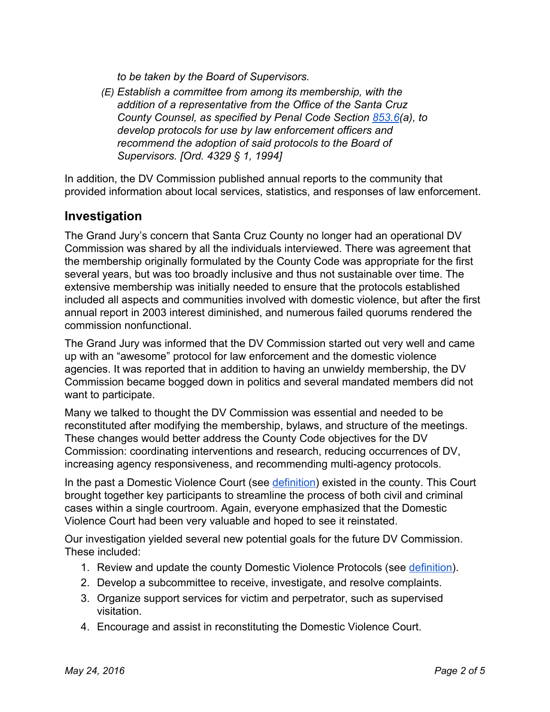*to be taken by the Board of Supervisors.*

*(E) Establish a committee from among its membership, with the addition of a representative from the Office of the Santa Cruz County Counsel, as specified by Penal Code Section [853.6\(](http://www.leginfo.ca.gov/cgi-bin/displaycode?section=pen&group=00001-01000&file=853.5-853.85)a), to develop protocols for use by law enforcement officers and recommend the adoption of said protocols to the Board of Supervisors. [Ord. 4329 § 1, 1994]*

In addition, the DV Commission published annual reports to the community that provided information about local services, statistics, and responses of law enforcement.

# **Investigation**

The Grand Jury's concern that Santa Cruz County no longer had an operational DV Commission was shared by all the individuals interviewed. There was agreement that the membership originally formulated by the County Code was appropriate for the first several years, but was too broadly inclusive and thus not sustainable over time. The extensive membership was initially needed to ensure that the protocols established included all aspects and communities involved with domestic violence, but after the first annual report in 2003 interest diminished, and numerous failed quorums rendered the commission nonfunctional.

The Grand Jury was informed that the DV Commission started out very well and came up with an "awesome" protocol for law enforcement and the domestic violence agencies. It was reported that in addition to having an unwieldy membership, the DV Commission became bogged down in politics and several mandated members did not want to participate.

Many we talked to thought the DV Commission was essential and needed to be reconstituted after modifying the membership, bylaws, and structure of the meetings. These changes would better address the County Code objectives for the DV Commission: coordinating interventions and research, reducing occurrences of DV, increasing agency responsiveness, and recommending multi-agency protocols.

In the past a Domestic Violence Court (see *definition*) existed in the county. This Court brought together key participants to streamline the process of both civil and criminal cases within a single courtroom. Again, everyone emphasized that the Domestic Violence Court had been very valuable and hoped to see it reinstated.

Our investigation yielded several new potential goals for the future DV Commission. These included:

- 1. Review and update the county Domestic Violence Protocols (see [definition\)](#page-3-2).
- 2. Develop a subcommittee to receive, investigate, and resolve complaints.
- 3. Organize support services for victim and perpetrator, such as supervised visitation.
- 4. Encourage and assist in reconstituting the Domestic Violence Court.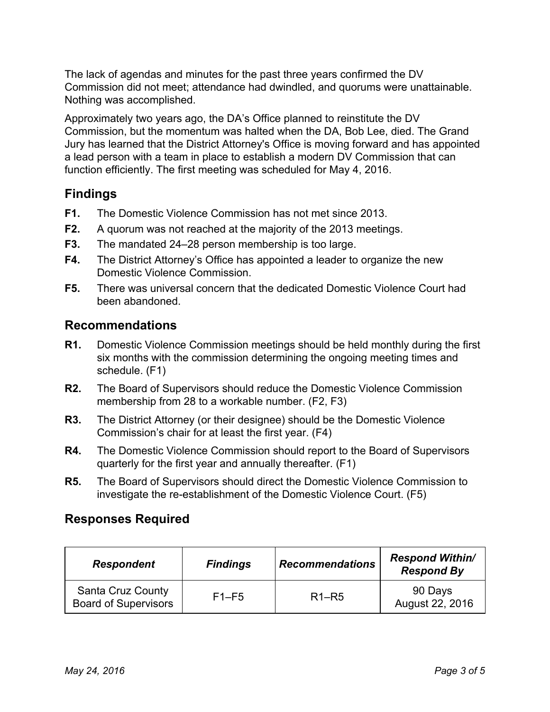The lack of agendas and minutes for the past three years confirmed the DV Commission did not meet; attendance had dwindled, and quorums were unattainable. Nothing was accomplished.

Approximately two years ago, the DA's Office planned to reinstitute the DV Commission, but the momentum was halted when the DA, Bob Lee, died. The Grand Jury has learned that the District Attorney's Office is moving forward and has appointed a lead person with a team in place to establish a modern DV Commission that can function efficiently. The first meeting was scheduled for May 4, 2016.

# **Findings**

- **F1.** The Domestic Violence Commission has not met since 2013.
- **F2.** A quorum was not reached at the majority of the 2013 meetings.
- **F3.** The mandated 24–28 person membership is too large.
- **F4.** The District Attorney's Office has appointed a leader to organize the new Domestic Violence Commission.
- **F5.** There was universal concern that the dedicated Domestic Violence Court had been abandoned.

### **Recommendations**

- **R1.** Domestic Violence Commission meetings should be held monthly during the first six months with the commission determining the ongoing meeting times and schedule. (F1)
- **R2.** The Board of Supervisors should reduce the Domestic Violence Commission membership from 28 to a workable number. (F2, F3)
- **R3.** The District Attorney (or their designee) should be the Domestic Violence Commission's chair for at least the first year. (F4)
- **R4.** The Domestic Violence Commission should report to the Board of Supervisors quarterly for the first year and annually thereafter. (F1)
- **R5.** The Board of Supervisors should direct the Domestic Violence Commission to investigate the re-establishment of the Domestic Violence Court. (F5)

# **Responses Required**

| <b>Respondent</b>                                       | <b>Findings</b> | <b>Recommendations</b>         | <b>Respond Within/</b><br><b>Respond By</b> |
|---------------------------------------------------------|-----------------|--------------------------------|---------------------------------------------|
| <b>Santa Cruz County</b><br><b>Board of Supervisors</b> | $F1-F5$         | R <sub>1</sub> –R <sub>5</sub> | 90 Days<br>August 22, 2016                  |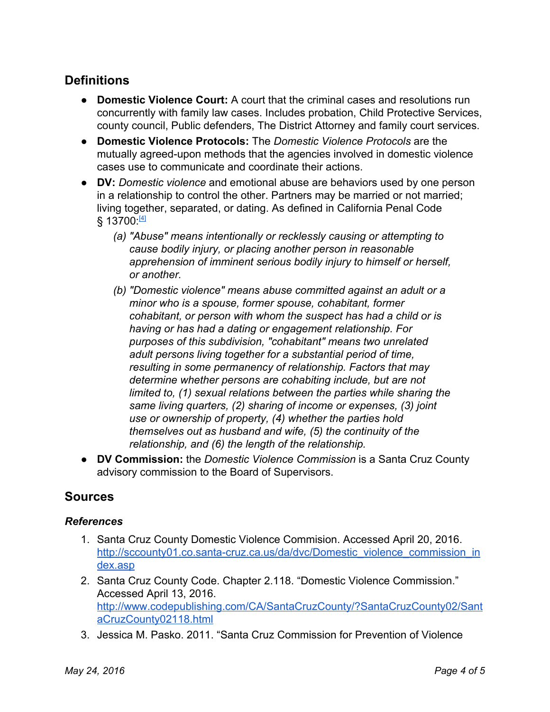# **Definitions**

- <span id="page-3-1"></span>● **Domestic Violence Court:** A court that the criminal cases and resolutions run concurrently with family law cases. Includes probation, Child Protective Services, county council, Public defenders, The District Attorney and family court services.
- <span id="page-3-2"></span>● **Domestic Violence Protocols:**The *Domestic Violence Protocols* are the mutually agreed-upon methods that the agencies involved in domestic violence cases use to communicate and coordinate their actions.
- <span id="page-3-0"></span>● **DV:** *Domestic violence* and emotional abuse are behaviors used by one person in a relationship to control the other. Partners may be married or not married; living together, separated, or dating. As defined in California Penal Code § 13700 <u>™</u>
	- *(a) "Abuse" means intentionally or recklessly causing or attempting to cause bodily injury, or placing another person in reasonable apprehension of imminent serious bodily injury to himself or herself, or another.*
	- *(b) "Domestic violence" means abuse committed against an adult or a minor who is a spouse, former spouse, cohabitant, former cohabitant, or person with whom the suspect has had a child or is having or has had a dating or engagement relationship. For purposes of this subdivision, "cohabitant" means two unrelated adult persons living together for a substantial period of time, resulting in some permanency of relationship. Factors that may determine whether persons are cohabiting include, but are not limited to, (1) sexual relations between the parties while sharing the same living quarters, (2) sharing of income or expenses, (3) joint use or ownership of property, (4) whether the parties hold themselves out as husband and wife, (5) the continuity of the relationship, and (6) the length of the relationship.*
- **DV Commission:**the *Domestic Violence Commission* is a Santa Cruz County advisory commission to the Board of Supervisors.

# **Sources**

#### *References*

- 1. Santa Cruz County Domestic Violence Commision. Accessed April 20, 2016. http://sccounty01.co.santa-cruz.ca.us/da/dvc/Domestic\_violence\_commission\_in\_ [dex.asp](http://sccounty01.co.santa-cruz.ca.us/da/dvc/Domestic_violence_commission_index.asp)
- 2. Santa Cruz County Code. Chapter 2.118. "Domestic Violence Commission." Accessed April 13, 2016. [http://www.codepublishing.com/CA/SantaCruzCounty/?SantaCruzCounty02/Sant](http://www.codepublishing.com/CA/SantaCruzCounty/?SantaCruzCounty02/SantaCruzCounty02118.html) [aCruzCounty02118.html](http://www.codepublishing.com/CA/SantaCruzCounty/?SantaCruzCounty02/SantaCruzCounty02118.html)
- 3. Jessica M. Pasko. 2011. "Santa Cruz Commission for Prevention of Violence